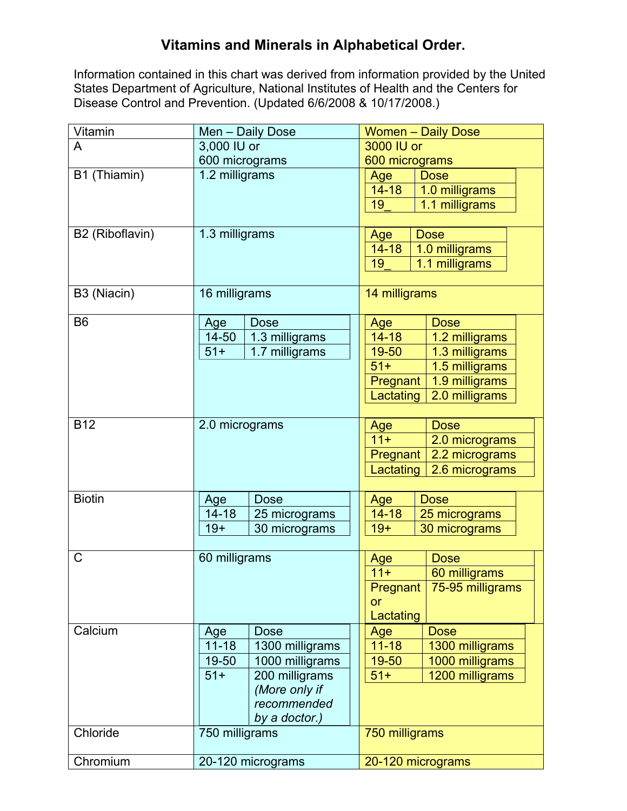## **Vitamins and Minerals in Alphabetical Order.**

Information contained in this chart was derived from information provided by the United States Department of Agriculture, National Institutes of Health and the Centers for Disease Control and Prevention. (Updated 6/6/2008 & 10/17/2008.)

| Vitamin         | Men - Daily Dose             | <b>Women - Daily Dose</b>    |
|-----------------|------------------------------|------------------------------|
| A               | 3,000 IU or                  | 3000 IU or                   |
|                 | 600 micrograms               | 600 micrograms               |
| B1 (Thiamin)    | 1.2 milligrams               | <b>Dose</b><br>Age           |
|                 |                              | $14 - 18$<br>1.0 milligrams  |
|                 |                              | 1.1 milligrams<br>19         |
|                 |                              |                              |
| B2 (Riboflavin) | 1.3 milligrams               | <b>Dose</b><br>Age           |
|                 |                              | $14 - 18$<br>1.0 milligrams  |
|                 |                              | 19<br>1.1 milligrams         |
|                 |                              |                              |
| B3 (Niacin)     | 16 milligrams                | 14 milligrams                |
| B <sub>6</sub>  | <b>Dose</b><br>Age           | <b>Dose</b><br>Age           |
|                 | $14 - 50$<br>1.3 milligrams  | $14 - 18$<br>1.2 milligrams  |
|                 | 1.7 milligrams<br>$51+$      | 1.3 milligrams<br>19-50      |
|                 |                              | 1.5 milligrams<br>$51+$      |
|                 |                              | 1.9 milligrams<br>Pregnant   |
|                 |                              | 2.0 milligrams<br>Lactating  |
|                 |                              |                              |
| <b>B12</b>      | 2.0 micrograms               | Age<br><b>Dose</b>           |
|                 |                              | $11 +$<br>2.0 micrograms     |
|                 |                              | 2.2 micrograms<br>Pregnant   |
|                 |                              | Lactating<br>2.6 micrograms  |
|                 |                              |                              |
| <b>Biotin</b>   | Age<br><b>Dose</b>           | <b>Dose</b><br>Age           |
|                 | $14 - 18$<br>25 micrograms   | $14 - 18$<br>25 micrograms   |
|                 | $19+$<br>30 micrograms       | $19+$<br>30 micrograms       |
|                 |                              |                              |
| C               | 60 milligrams                | <b>Dose</b><br>Age           |
|                 |                              | $11 +$<br>60 milligrams      |
|                 |                              | Pregnant<br>75-95 milligrams |
|                 |                              | or                           |
|                 |                              | Lactating                    |
| Calcium         | <b>Dose</b><br>Age           | <b>Dose</b><br>Age           |
|                 | $11 - 18$<br>1300 milligrams | $11 - 18$<br>1300 milligrams |
|                 | 1000 milligrams<br>19-50     | 1000 milligrams<br>19-50     |
|                 | $51+$<br>200 milligrams      | $51+$<br>1200 milligrams     |
|                 | (More only if<br>recommended |                              |
|                 | by a doctor.)                |                              |
| Chloride        | 750 milligrams               | 750 milligrams               |
|                 |                              |                              |
| Chromium        | 20-120 micrograms            | 20-120 micrograms            |